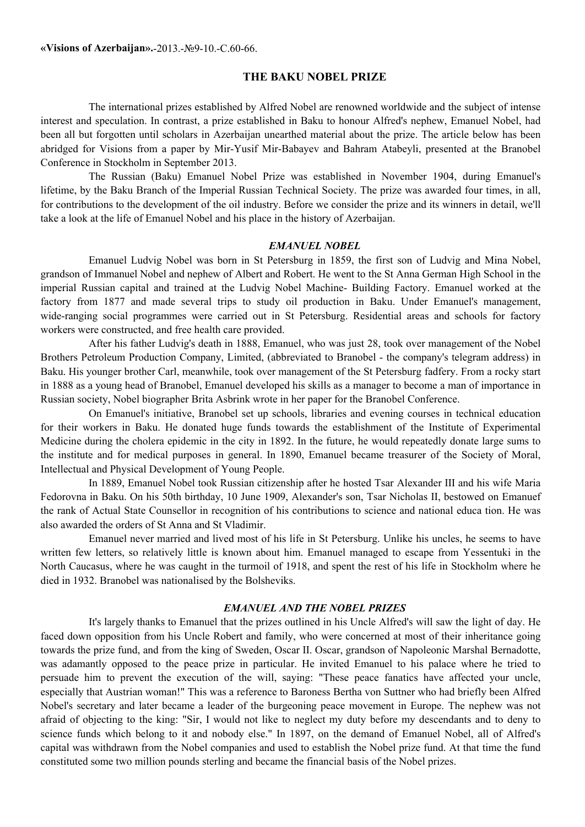**«Visions of Azerbaijan».**-2013.-№9-10.-С.60-66.

## **THE BAKU NOBEL PRIZE**

The international prizes established by Alfred Nobel are renowned worldwide and the subject of intense interest and speculation. In contrast, a prize established in Baku to honour Alfred's nephew, Emanuel Nobel, had been all but forgotten until scholars in Azerbaijan unearthed material about the prize. The article below has been abridged for Visions from a paper by Mir-Yusif Mir-Babayev and Bahram Atabeyli, presented at the Branobel Conference in Stockholm in September 2013.

The Russian (Baku) Emanuel Nobel Prize was established in November 1904, during Emanuel's lifetime, by the Baku Branch of the Imperial Russian Technical Society. The prize was awarded four times, in all, for contributions to the development of the oil industry. Before we consider the prize and its winners in detail, we'll take a look at the life of Emanuel Nobel and his place in the history of Azerbaijan.

#### *EMANUEL NOBEL*

Emanuel Ludvig Nobel was born in St Petersburg in 1859, the first son of Ludvig and Mina Nobel, grandson of Immanuel Nobel and nephew of Albert and Robert. He went to the St Anna German High School in the imperial Russian capital and trained at the Ludvig Nobel Machine- Building Factory. Emanuel worked at the factory from 1877 and made several trips to study oil production in Baku. Under Emanuel's management, wide-ranging social programmes were carried out in St Petersburg. Residential areas and schools for factory workers were constructed, and free health care provided.

After his father Ludvig's death in 1888, Emanuel, who was just 28, took over management of the Nobel Brothers Petroleum Production Company, Limited, (abbreviated to Branobel - the company's telegram address) in Baku. His younger brother Carl, meanwhile, took over management of the St Petersburg fadfery. From a rocky start in 1888 as a young head of Branobel, Emanuel developed his skills as a manager to become a man of importance in Russian society, Nobel biographer Brita Asbrink wrote in her paper for the Branobel Conference.

On Emanuel's initiative, Branobel set up schools, libraries and evening courses in technical education for their workers in Baku. He donated huge funds towards the establishment of the Institute of Experimental Medicine during the cholera epidemic in the city in 1892. In the future, he would repeatedly donate large sums to the institute and for medical purposes in general. In 1890, Emanuel became treasurer of the Society of Moral, Intellectual and Physical Development of Young People.

In 1889, Emanuel Nobel took Russian citizenship after he hosted Tsar Alexander III and his wife Maria Fedorovna in Baku. On his 50th birthday, 10 June 1909, Alexander's son, Tsar Nicholas II, bestowed on Emanuef the rank of Actual State Counsellor in recognition of his contributions to science and national educa tion. He was also awarded the orders of St Anna and St Vladimir.

Emanuel never married and lived most of his life in St Petersburg. Unlike his uncles, he seems to have written few letters, so relatively little is known about him. Emanuel managed to escape from Yessentuki in the North Caucasus, where he was caught in the turmoil of 1918, and spent the rest of his life in Stockholm where he died in 1932. Branobel was nationalised by the Bolsheviks.

#### *EMANUEL AND THE NOBEL PRIZES*

It's largely thanks to Emanuel that the prizes outlined in his Uncle Alfred's will saw the light of day. He faced down opposition from his Uncle Robert and family, who were concerned at most of their inheritance going towards the prize fund, and from the king of Sweden, Oscar II. Oscar, grandson of Napoleonic Marshal Bernadotte, was adamantly opposed to the peace prize in particular. He invited Emanuel to his palace where he tried to persuade him to prevent the execution of the will, saying: "These peace fanatics have affected your uncle, especially that Austrian woman!" This was a reference to Baroness Bertha von Suttner who had briefly been Alfred Nobel's secretary and later became a leader of the burgeoning peace movement in Europe. The nephew was not afraid of objecting to the king: "Sir, I would not like to neglect my duty before my descendants and to deny to science funds which belong to it and nobody else." In 1897, on the demand of Emanuel Nobel, all of Alfred's capital was withdrawn from the Nobel companies and used to establish the Nobel prize fund. At that time the fund constituted some two million pounds sterling and became the financial basis of the Nobel prizes.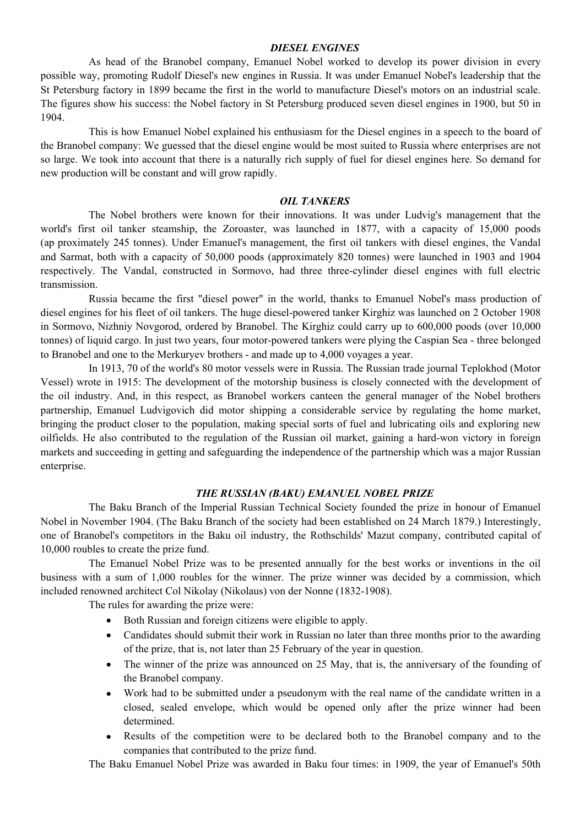# *DIESEL ENGINES*

As head of the Branobel company, Emanuel Nobel worked to develop its power division in every possible way, promoting Rudolf Diesel's new engines in Russia. It was under Emanuel Nobel's leadership that the St Petersburg factory in 1899 became the first in the world to manufacture Diesel's motors on an industrial scale. The figures show his success: the Nobel factory in St Petersburg produced seven diesel engines in 1900, but 50 in 1904.

This is how Emanuel Nobel explained his enthusiasm for the Diesel engines in a speech to the board of the Branobel company: We guessed that the diesel engine would be most suited to Russia where enterprises are not so large. We took into account that there is a naturally rich supply of fuel for diesel engines here. So demand for new production will be constant and will grow rapidly.

# *OIL TANKERS*

The Nobel brothers were known for their innovations. It was under Ludvig's management that the world's first oil tanker steamship, the Zoroaster, was launched in 1877, with a capacity of 15,000 poods (ap proximately 245 tonnes). Under Emanuel's management, the first oil tankers with diesel engines, the Vandal and Sarmat, both with a capacity of 50,000 poods (approximately 820 tonnes) were launched in 1903 and 1904 respectively. The Vandal, constructed in Sormovo, had three three-cylinder diesel engines with full electric transmission.

Russia became the first "diesel power" in the world, thanks to Emanuel Nobel's mass production of diesel engines for his fleet of oil tankers. The huge diesel-powered tanker Kirghiz was launched on 2 October 1908 in Sormovo, Nizhniy Novgorod, ordered by Branobel. The Kirghiz could carry up to 600,000 poods (over 10,000 tonnes) of liquid cargo. In just two years, four motor-powered tankers were plying the Caspian Sea - three belonged to Branobel and one to the Merkuryev brothers - and made up to 4,000 voyages a year.

In 1913, 70 of the world's 80 motor vessels were in Russia. The Russian trade journal Teplokhod (Motor Vessel) wrote in 1915: The development of the motorship business is closely connected with the development of the oil industry. And, in this respect, as Branobel workers canteen the general manager of the Nobel brothers partnership, Emanuel Ludvigovich did motor shipping a considerable service by regulating the home market, bringing the product closer to the population, making special sorts of fuel and lubricating oils and exploring new oilfields. He also contributed to the regulation of the Russian oil market, gaining a hard-won victory in foreign markets and succeeding in getting and safeguarding the independence of the partnership which was a major Russian enterprise.

# *THE RUSSIAN (BAKU) EMANUEL NOBEL PRIZE*

The Baku Branch of the Imperial Russian Technical Society founded the prize in honour of Emanuel Nobel in November 1904. (The Baku Branch of the society had been established on 24 March 1879.) Interestingly, one of Branobel's competitors in the Baku oil industry, the Rothschilds' Mazut company, contributed capital of 10,000 roubles to create the prize fund.

The Emanuel Nobel Prize was to be presented annually for the best works or inventions in the oil business with a sum of 1,000 roubles for the winner. The prize winner was decided by a commission, which included renowned architect Col Nikolay (Nikolaus) von der Nonne (1832-1908).

The rules for awarding the prize were:

- Both Russian and foreign citizens were eligible to apply.
- Candidates should submit their work in Russian no later than three months prior to the awarding of the prize, that is, not later than 25 February of the year in question.
- The winner of the prize was announced on 25 May, that is, the anniversary of the founding of the Branobel company.
- Work had to be submitted under a pseudonym with the real name of the candidate written in a closed, sealed envelope, which would be opened only after the prize winner had been determined.
- Results of the competition were to be declared both to the Branobel company and to the companies that contributed to the prize fund.

The Baku Emanuel Nobel Prize was awarded in Baku four times: in 1909, the year of Emanuel's 50th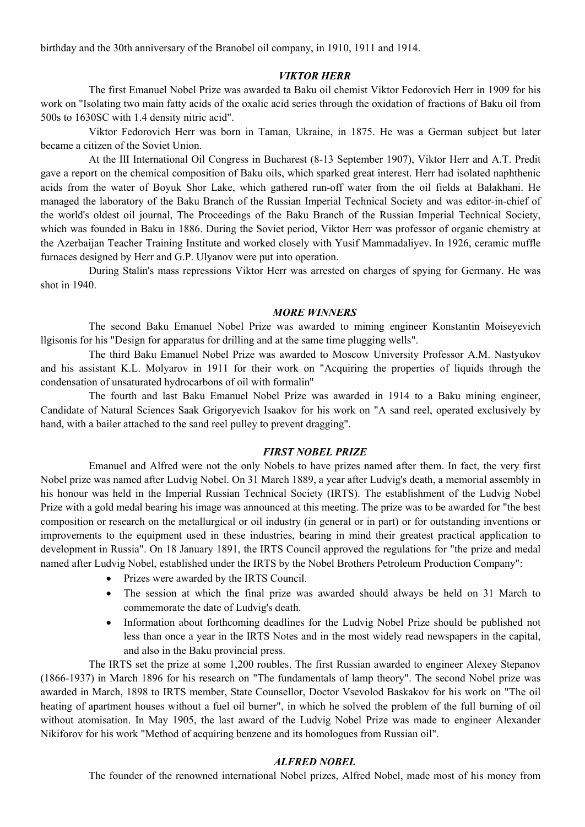birthday and the 30th anniversary of the Branobel oil company, in 1910, 1911 and 1914.

## *VIKTOR HERR*

The first Emanuel Nobel Prize was awarded ta Baku oil chemist Viktor Fedorovich Herr in 1909 for his work on "Isolating two main fatty acids of the oxalic acid series through the oxidation of fractions of Baku oil from 500s to 1630SC with 1.4 density nitric acid".

Viktor Fedorovich Herr was born in Taman, Ukraine, in 1875. He was a German subject but later became a citizen of the Soviet Union.

At the III International Oil Congress in Bucharest (8-13 September 1907), Viktor Herr and A.T. Predit gave a report on the chemical composition of Baku oils, which sparked great interest. Herr had isolated naphthenic acids from the water of Boyuk Shor Lake, which gathered run-off water from the oil fields at Balakhani. He managed the laboratory of the Baku Branch of the Russian Imperial Technical Society and was editor-in-chief of the world's oldest oil journal, The Proceedings of the Baku Branch of the Russian Imperial Technical Society, which was founded in Baku in 1886. During the Soviet period, Viktor Herr was professor of organic chemistry at the Azerbaijan Teacher Training Institute and worked closely with Yusif Mammadaliyev. In 1926, ceramic muffle furnaces designed by Herr and G.P. Ulyanov were put into operation.

During Stalin's mass repressions Viktor Herr was arrested on charges of spying for Germany. He was shot in 1940.

#### *MORE WINNERS*

The second Baku Emanuel Nobel Prize was awarded to mining engineer Konstantin Moiseyevich llgisonis for his "Design for apparatus for drilling and at the same time plugging wells".

The third Baku Emanuel Nobel Prize was awarded to Moscow University Professor A.M. Nastyukov and his assistant K.L. Molyarov in 1911 for their work on "Acquiring the properties of liquids through the condensation of unsaturated hydrocarbons of oil with formalin''

The fourth and last Baku Emanuel Nobel Prize was awarded in 1914 to a Baku mining engineer, Candidate of Natural Sciences Saak Grigoryevich Isaakov for his work on "A sand reel, operated exclusively by hand, with a bailer attached to the sand reel pulley to prevent dragging".

## *FIRST NOBEL PRIZE*

Emanuel and Alfred were not the only Nobels to have prizes named after them. In fact, the very first Nobel prize was named after Ludvig Nobel. On 31 March 1889, a year after Ludvig's death, a memorial assembly in his honour was held in the Imperial Russian Technical Society (IRTS). The establishment of the Ludvig Nobel Prize with a gold medal bearing his image was announced at this meeting. The prize was to be awarded for "the best composition or research on the metallurgical or oil industry (in general or in part) or for outstanding inventions or improvements to the equipment used in these industries, bearing in mind their greatest practical application to development in Russia". On 18 January 1891, the IRTS Council approved the regulations for "the prize and medal named after Ludvig Nobel, established under the IRTS by the Nobel Brothers Petroleum Production Company":

- Prizes were awarded by the IRTS Council.
- The session at which the final prize was awarded should always be held on 31 March to commemorate the date of Ludvig's death.
- Information about forthcoming deadlines for the Ludvig Nobel Prize should be published not less than once a year in the IRTS Notes and in the most widely read newspapers in the capital, and also in the Baku provincial press.

The IRTS set the prize at some 1,200 roubles. The first Russian awarded to engineer Alexey Stepanov (1866-1937) in March 1896 for his research on "The fundamentals of lamp theory". The second Nobel prize was awarded in March, 1898 to IRTS member, State Counsellor, Doctor Vsevolod Baskakov for his work on "The oil heating of apartment houses without a fuel oil burner", in which he solved the problem of the full burning of oil without atomisation. In May 1905, the last award of the Ludvig Nobel Prize was made to engineer Alexander Nikiforov for his work "Method of acquiring benzene and its homologues from Russian oil".

# *ALFRED NOBEL*

The founder of the renowned international Nobel prizes, Alfred Nobel, made most of his money from